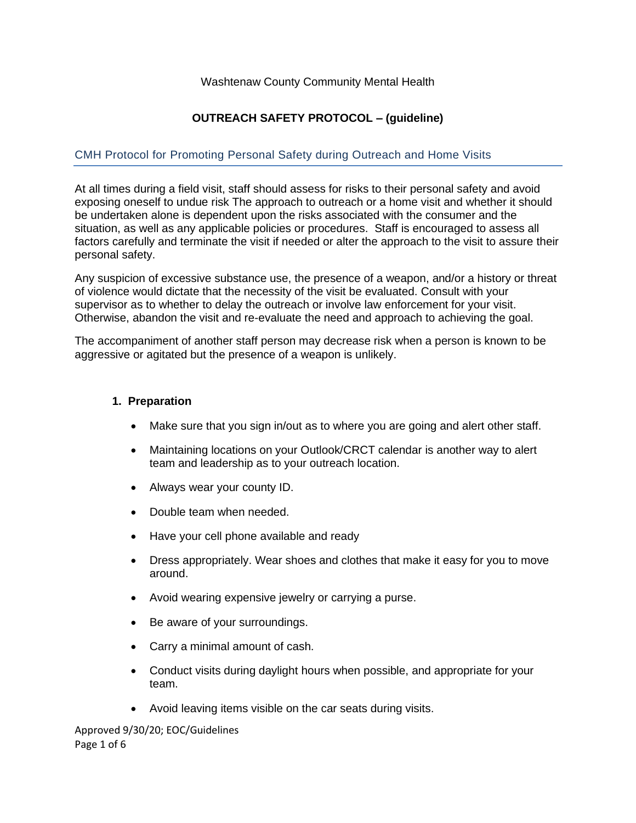## Washtenaw County Community Mental Health

# **OUTREACH SAFETY PROTOCOL – (guideline)**

## CMH Protocol for Promoting Personal Safety during Outreach and Home Visits

At all times during a field visit, staff should assess for risks to their personal safety and avoid exposing oneself to undue risk The approach to outreach or a home visit and whether it should be undertaken alone is dependent upon the risks associated with the consumer and the situation, as well as any applicable policies or procedures. Staff is encouraged to assess all factors carefully and terminate the visit if needed or alter the approach to the visit to assure their personal safety.

Any suspicion of excessive substance use, the presence of a weapon, and/or a history or threat of violence would dictate that the necessity of the visit be evaluated. Consult with your supervisor as to whether to delay the outreach or involve law enforcement for your visit. Otherwise, abandon the visit and re-evaluate the need and approach to achieving the goal.

The accompaniment of another staff person may decrease risk when a person is known to be aggressive or agitated but the presence of a weapon is unlikely.

#### **1. Preparation**

- Make sure that you sign in/out as to where you are going and alert other staff.
- Maintaining locations on your Outlook/CRCT calendar is another way to alert team and leadership as to your outreach location.
- Always wear your county ID.
- Double team when needed.
- Have your cell phone available and ready
- Dress appropriately. Wear shoes and clothes that make it easy for you to move around.
- Avoid wearing expensive jewelry or carrying a purse.
- Be aware of your surroundings.
- Carry a minimal amount of cash.
- Conduct visits during daylight hours when possible, and appropriate for your team.
- Avoid leaving items visible on the car seats during visits.

Approved 9/30/20; EOC/Guidelines Page 1 of 6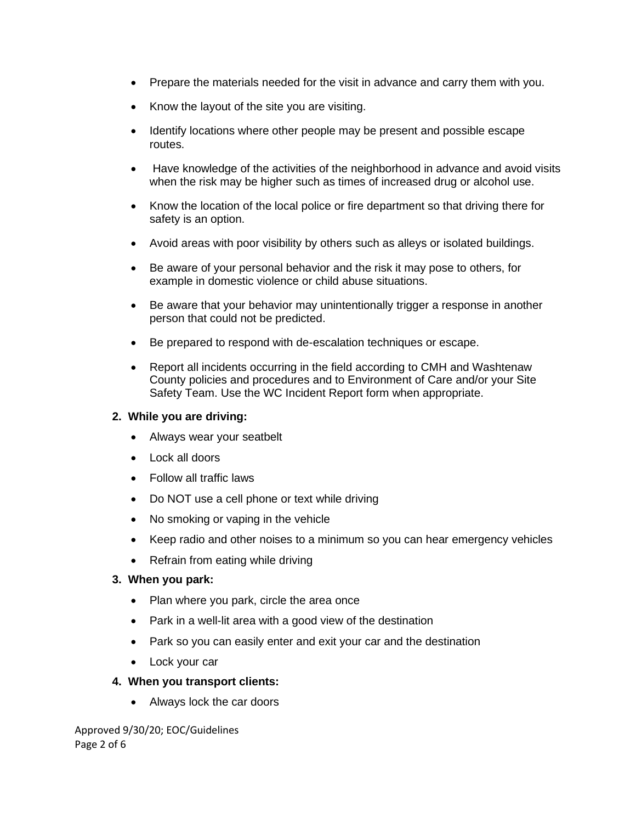- Prepare the materials needed for the visit in advance and carry them with you.
- Know the layout of the site you are visiting.
- Identify locations where other people may be present and possible escape routes.
- Have knowledge of the activities of the neighborhood in advance and avoid visits when the risk may be higher such as times of increased drug or alcohol use.
- Know the location of the local police or fire department so that driving there for safety is an option.
- Avoid areas with poor visibility by others such as alleys or isolated buildings.
- Be aware of your personal behavior and the risk it may pose to others, for example in domestic violence or child abuse situations.
- Be aware that your behavior may unintentionally trigger a response in another person that could not be predicted.
- Be prepared to respond with de-escalation techniques or escape.
- Report all incidents occurring in the field according to CMH and Washtenaw County policies and procedures and to Environment of Care and/or your Site Safety Team. Use the WC Incident Report form when appropriate.

## **2. While you are driving:**

- Always wear your seatbelt
- Lock all doors
- Follow all traffic laws
- Do NOT use a cell phone or text while driving
- No smoking or vaping in the vehicle
- Keep radio and other noises to a minimum so you can hear emergency vehicles
- Refrain from eating while driving

### **3. When you park:**

- Plan where you park, circle the area once
- Park in a well-lit area with a good view of the destination
- Park so you can easily enter and exit your car and the destination
- Lock your car

### **4. When you transport clients:**

• Always lock the car doors

Approved 9/30/20; EOC/Guidelines Page 2 of 6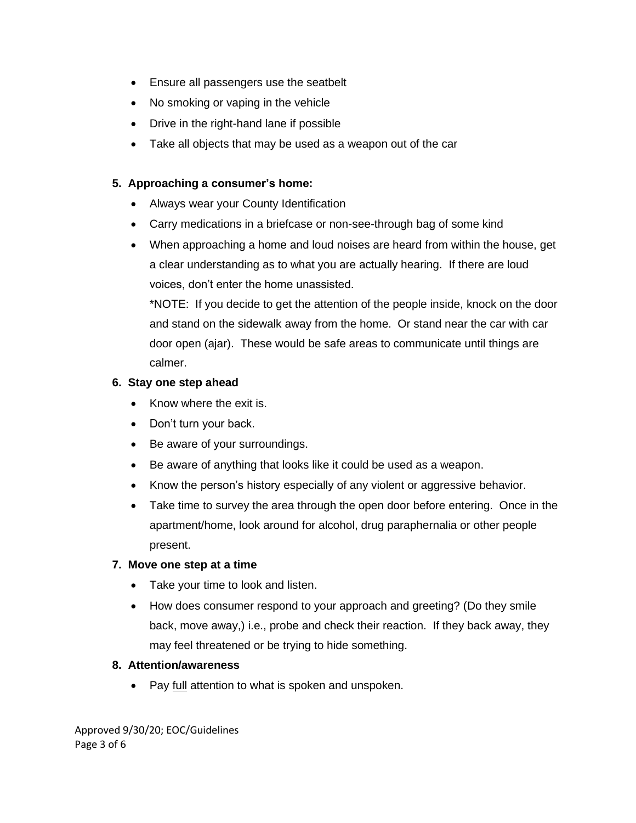- Ensure all passengers use the seatbelt
- No smoking or vaping in the vehicle
- Drive in the right-hand lane if possible
- Take all objects that may be used as a weapon out of the car

# **5. Approaching a consumer's home:**

- Always wear your County Identification
- Carry medications in a briefcase or non-see-through bag of some kind
- When approaching a home and loud noises are heard from within the house, get a clear understanding as to what you are actually hearing. If there are loud voices, don't enter the home unassisted.

\*NOTE: If you decide to get the attention of the people inside, knock on the door and stand on the sidewalk away from the home. Or stand near the car with car door open (ajar). These would be safe areas to communicate until things are calmer.

# **6. Stay one step ahead**

- Know where the exit is.
- Don't turn your back.
- Be aware of your surroundings.
- Be aware of anything that looks like it could be used as a weapon.
- Know the person's history especially of any violent or aggressive behavior.
- Take time to survey the area through the open door before entering. Once in the apartment/home, look around for alcohol, drug paraphernalia or other people present.

# **7. Move one step at a time**

- Take your time to look and listen.
- How does consumer respond to your approach and greeting? (Do they smile back, move away,) i.e., probe and check their reaction. If they back away, they may feel threatened or be trying to hide something.

# **8. Attention/awareness**

• Pay full attention to what is spoken and unspoken.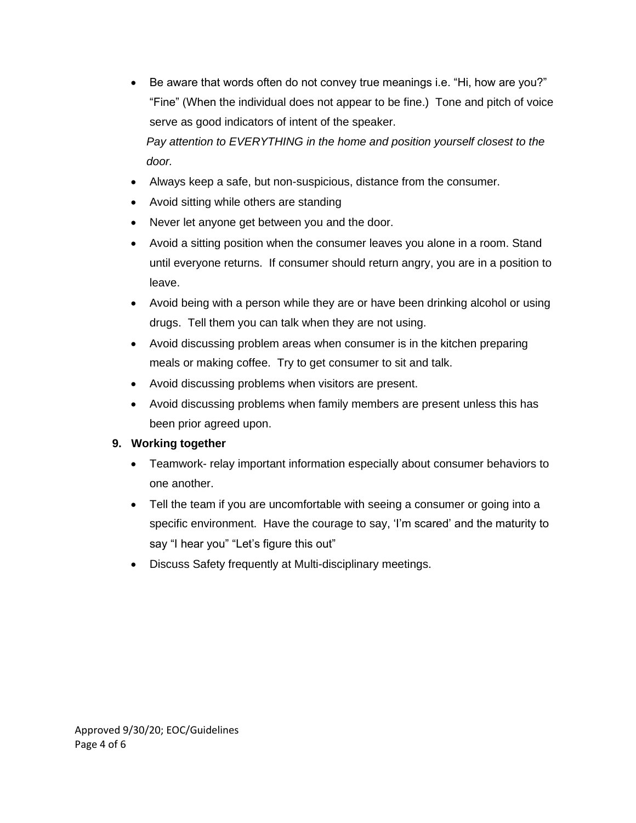• Be aware that words often do not convey true meanings i.e. "Hi, how are you?" "Fine" (When the individual does not appear to be fine.) Tone and pitch of voice serve as good indicators of intent of the speaker.

*Pay attention to EVERYTHING in the home and position yourself closest to the door.*

- Always keep a safe, but non-suspicious, distance from the consumer.
- Avoid sitting while others are standing
- Never let anyone get between you and the door.
- Avoid a sitting position when the consumer leaves you alone in a room. Stand until everyone returns. If consumer should return angry, you are in a position to leave.
- Avoid being with a person while they are or have been drinking alcohol or using drugs. Tell them you can talk when they are not using.
- Avoid discussing problem areas when consumer is in the kitchen preparing meals or making coffee. Try to get consumer to sit and talk.
- Avoid discussing problems when visitors are present.
- Avoid discussing problems when family members are present unless this has been prior agreed upon.

# **9. Working together**

- Teamwork- relay important information especially about consumer behaviors to one another.
- Tell the team if you are uncomfortable with seeing a consumer or going into a specific environment. Have the courage to say, 'I'm scared' and the maturity to say "I hear you" "Let's figure this out"
- Discuss Safety frequently at Multi-disciplinary meetings.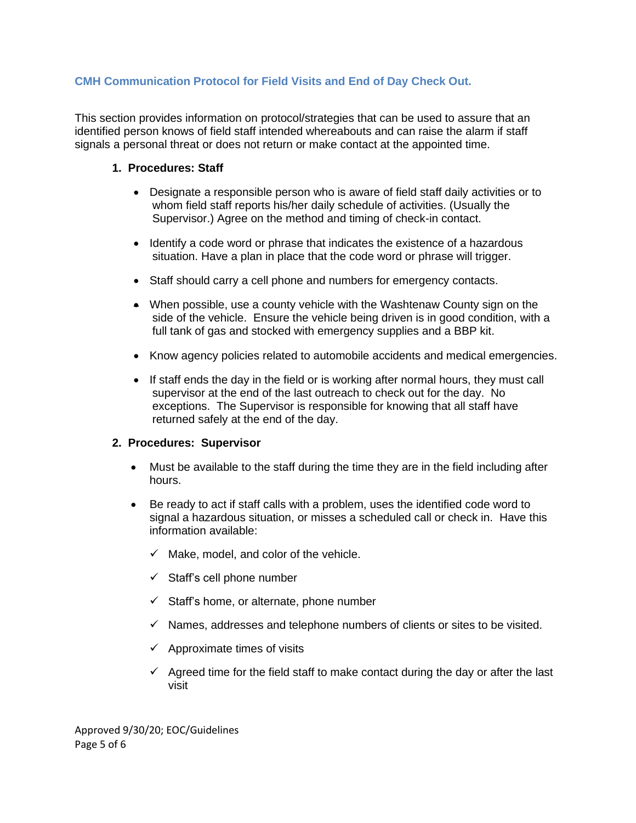# **CMH Communication Protocol for Field Visits and End of Day Check Out.**

This section provides information on protocol/strategies that can be used to assure that an identified person knows of field staff intended whereabouts and can raise the alarm if staff signals a personal threat or does not return or make contact at the appointed time.

#### **1. Procedures: Staff**

- Designate a responsible person who is aware of field staff daily activities or to whom field staff reports his/her daily schedule of activities. (Usually the Supervisor.) Agree on the method and timing of check-in contact.
- Identify a code word or phrase that indicates the existence of a hazardous situation. Have a plan in place that the code word or phrase will trigger.
- Staff should carry a cell phone and numbers for emergency contacts.
- When possible, use a county vehicle with the Washtenaw County sign on the side of the vehicle. Ensure the vehicle being driven is in good condition, with a full tank of gas and stocked with emergency supplies and a BBP kit.
- Know agency policies related to automobile accidents and medical emergencies.
- If staff ends the day in the field or is working after normal hours, they must call supervisor at the end of the last outreach to check out for the day. No exceptions. The Supervisor is responsible for knowing that all staff have returned safely at the end of the day.

#### **2. Procedures: Supervisor**

- Must be available to the staff during the time they are in the field including after hours.
- Be ready to act if staff calls with a problem, uses the identified code word to signal a hazardous situation, or misses a scheduled call or check in. Have this information available:
	- $\checkmark$  Make, model, and color of the vehicle.
	- $\checkmark$  Staff's cell phone number
	- $\checkmark$  Staff's home, or alternate, phone number
	- $\checkmark$  Names, addresses and telephone numbers of clients or sites to be visited.
	- $\checkmark$  Approximate times of visits
	- $\checkmark$  Agreed time for the field staff to make contact during the day or after the last visit